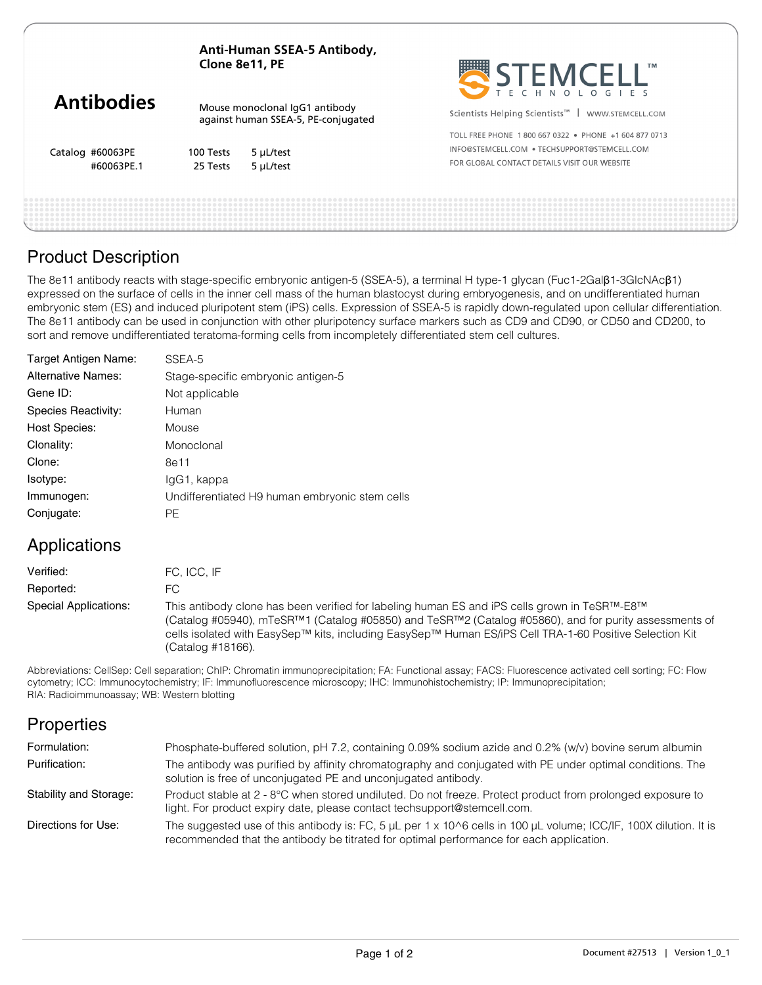| Anti-Human SSEA-5 Antibody, |
|-----------------------------|
| Clone 8e11, PE              |

|                   | Clone 8e11, PE                                                        |           | <b>STEMCELL</b>                                               |
|-------------------|-----------------------------------------------------------------------|-----------|---------------------------------------------------------------|
| <b>Antibodies</b> | Mouse monoclonal IgG1 antibody<br>against human SSEA-5, PE-conjugated |           | Scientists Helping Scientists <sup>™</sup>   WWW.STEMCELL.COM |
|                   |                                                                       |           | TOLL FREE PHONE 1800 667 0322 • PHONE +1 604 877 0713         |
| Catalog #60063PE  | 100 Tests                                                             | 5 µL/test | INFO@STEMCELL.COM . TECHSUPPORT@STEMCELL.COM                  |
| #60063PE.1        | 25 Tests                                                              | 5 µL/test | FOR GLOBAL CONTACT DETAILS VISIT OUR WEBSITE                  |
|                   |                                                                       |           |                                                               |

## Product Description

The 8e11 antibody reacts with stage-specific embryonic antigen-5 (SSEA-5), a terminal H type-1 glycan (Fuc1-2Galβ1-3GlcNAcβ1) expressed on the surface of cells in the inner cell mass of the human blastocyst during embryogenesis, and on undifferentiated human embryonic stem (ES) and induced pluripotent stem (iPS) cells. Expression of SSEA-5 is rapidly down-regulated upon cellular differentiation. The 8e11 antibody can be used in conjunction with other pluripotency surface markers such as CD9 and CD90, or CD50 and CD200, to sort and remove undifferentiated teratoma-forming cells from incompletely differentiated stem cell cultures.

| Target Antigen Name:      | SSEA-5                                         |
|---------------------------|------------------------------------------------|
| <b>Alternative Names:</b> | Stage-specific embryonic antigen-5             |
| Gene ID:                  | Not applicable                                 |
| Species Reactivity:       | Human                                          |
| <b>Host Species:</b>      | Mouse                                          |
| Clonality:                | Monoclonal                                     |
| Clone:                    | 8e11                                           |
| Isotype:                  | lgG1, kappa                                    |
| Immunogen:                | Undifferentiated H9 human embryonic stem cells |
| Conjugate:                | <b>PE</b>                                      |

# Applications

| Verified:             | FC. ICC. IF                                                                                                                                                                                                                                                                                                                                                                                |
|-----------------------|--------------------------------------------------------------------------------------------------------------------------------------------------------------------------------------------------------------------------------------------------------------------------------------------------------------------------------------------------------------------------------------------|
| Reported:             | FC.                                                                                                                                                                                                                                                                                                                                                                                        |
| Special Applications: | This antibody clone has been verified for labeling human ES and iPS cells grown in TeSR <sup>™</sup> -E8 <sup>™</sup><br>(Catalog #05940), mTeSR <sup>TM</sup> 1 (Catalog #05850) and TeSR <sup>TM</sup> 2 (Catalog #05860), and for purity assessments of<br>cells isolated with EasySep™ kits, including EasySep™ Human ES/iPS Cell TRA-1-60 Positive Selection Kit<br>(Catalog #18166). |

Abbreviations: CellSep: Cell separation; ChIP: Chromatin immunoprecipitation; FA: Functional assay; FACS: Fluorescence activated cell sorting; FC: Flow cytometry; ICC: Immunocytochemistry; IF: Immunofluorescence microscopy; IHC: Immunohistochemistry; IP: Immunoprecipitation; RIA: Radioimmunoassay; WB: Western blotting

# **Properties**

| Formulation:           | Phosphate-buffered solution, pH 7.2, containing 0.09% sodium azide and 0.2% (w/v) bovine serum albumin                                                                                                                         |
|------------------------|--------------------------------------------------------------------------------------------------------------------------------------------------------------------------------------------------------------------------------|
| Purification:          | The antibody was purified by affinity chromatography and conjugated with PE under optimal conditions. The<br>solution is free of unconjugated PE and unconjugated antibody.                                                    |
| Stability and Storage: | Product stable at 2 - 8°C when stored undiluted. Do not freeze. Protect product from prolonged exposure to<br>light. For product expiry date, please contact techsupport@stemcell.com.                                         |
| Directions for Use:    | The suggested use of this antibody is: FC, 5 $\mu$ L per 1 x 10 $\land$ 6 cells in 100 $\mu$ L volume; ICC/IF, 100X dilution. It is<br>recommended that the antibody be titrated for optimal performance for each application. |